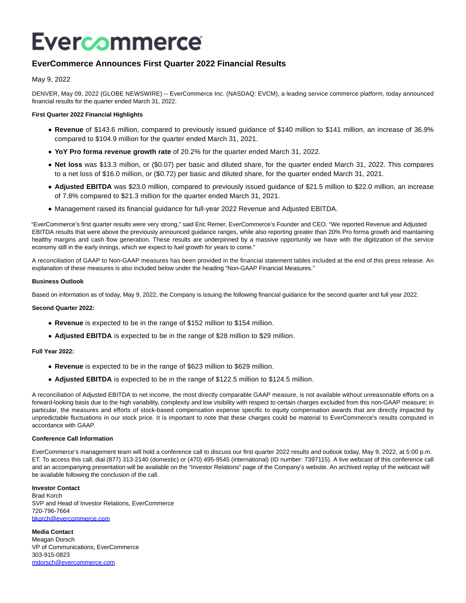# Evercommerce

# **EverCommerce Announces First Quarter 2022 Financial Results**

May 9, 2022

DENVER, May 09, 2022 (GLOBE NEWSWIRE) -- EverCommerce Inc. (NASDAQ: EVCM), a leading service commerce platform, today announced financial results for the quarter ended March 31, 2022.

### **First Quarter 2022 Financial Highlights**

- **Revenue** of \$143.6 million, compared to previously issued guidance of \$140 million to \$141 million, an increase of 36.9% compared to \$104.9 million for the quarter ended March 31, 2021.
- **YoY Pro forma revenue growth rate** of 20.2% for the quarter ended March 31, 2022.
- **Net loss** was \$13.3 million, or (\$0.07) per basic and diluted share, for the quarter ended March 31, 2022. This compares to a net loss of \$16.0 million, or (\$0.72) per basic and diluted share, for the quarter ended March 31, 2021.
- **Adjusted EBITDA** was \$23.0 million, compared to previously issued guidance of \$21.5 million to \$22.0 million, an increase of 7.8% compared to \$21.3 million for the quarter ended March 31, 2021.
- Management raised its financial guidance for full-year 2022 Revenue and Adjusted EBITDA.

"EverCommerce's first quarter results were very strong," said Eric Remer, EverCommerce's Founder and CEO. "We reported Revenue and Adjusted EBITDA results that were above the previously announced guidance ranges, while also reporting greater than 20% Pro forma growth and maintaining healthy margins and cash flow generation. These results are underpinned by a massive opportunity we have with the digitization of the service economy still in the early innings, which we expect to fuel growth for years to come."

A reconciliation of GAAP to Non-GAAP measures has been provided in the financial statement tables included at the end of this press release. An explanation of these measures is also included below under the heading "Non-GAAP Financial Measures."

#### **Business Outlook**

Based on information as of today, May 9, 2022, the Company is issuing the following financial guidance for the second quarter and full year 2022.

#### **Second Quarter 2022:**

- **Revenue** is expected to be in the range of \$152 million to \$154 million.
- **Adjusted EBITDA** is expected to be in the range of \$28 million to \$29 million.

#### **Full Year 2022:**

- **Revenue** is expected to be in the range of \$623 million to \$629 million.
- **Adjusted EBITDA** is expected to be in the range of \$122.5 million to \$124.5 million.

A reconciliation of Adjusted EBITDA to net income, the most directly comparable GAAP measure, is not available without unreasonable efforts on a forward-looking basis due to the high variability, complexity and low visibility with respect to certain charges excluded from this non-GAAP measure; in particular, the measures and efforts of stock-based compensation expense specific to equity compensation awards that are directly impacted by unpredictable fluctuations in our stock price. It is important to note that these charges could be material to EverCommerce's results computed in accordance with GAAP.

#### **Conference Call Information**

EverCommerce's management team will hold a conference call to discuss our first quarter 2022 results and outlook today, May 9, 2022, at 5:00 p.m. ET. To access this call, dial (877) 313-2140 (domestic) or (470) 495-9545 (international) (ID number: 7397115). A live webcast of this conference call and an accompanying presentation will be available on the "Investor Relations" page of the Company's website. An archived replay of the webcast will be available following the conclusion of the call.

#### **Investor Contact** Brad Korch

SVP and Head of Investor Relations, EverCommerce 720-796-7664 [bkorch@evercommerce.com](https://www.globenewswire.com/Tracker?data=OHhr2thM5odliTXFes033hCOFsxoaQo5iUvjAP0BUx-CoN6F1llqvgbSq2eWQbwFPMJ5VhqoIxaRYPku5khmfKcmdEjHHAUaQcG2uHWVYF8=)

**Media Contact** Meagan Dorsch VP of Communications, EverCommerce 303-915-0823 [mdorsch@evercommerce.com](https://www.globenewswire.com/Tracker?data=_CMbuJn1ipwVDJKSbPeLzX8hyW7J42NAgLIznpuDe3QcdeMcTaFRe-w8lG5GsDLOeSKtSaGr6sxNG_uGAhTcxfxEbxB8Jmip0lLvjW-MSH8=)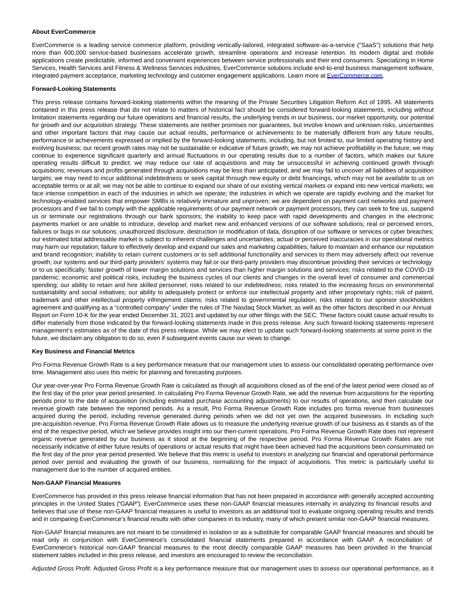#### **About EverCommerce**

EverCommerce is a leading service commerce platform, providing vertically-tailored, integrated software-as-a-service ("SaaS") solutions that help more than 600,000 service-based businesses accelerate growth, streamline operations and increase retention. Its modern digital and mobile applications create predictable, informed and convenient experiences between service professionals and their end consumers. Specializing in Home Services, Health Services and Fitness & Wellness Services industries, EverCommerce solutions include end-to-end business management software, integrated payment acceptance, marketing technology and customer engagement applications. Learn more at [EverCommerce.com.](https://www.globenewswire.com/Tracker?data=vStfwTG1XqJPHrBqtnWwYs2wuIfIgal6xCdq_CT-PbqrwCNtwfwWsFvieH3A_Aq_t9hGJIz24NMWrK8MD1hNxg==)

#### **Forward-Looking Statements**

This press release contains forward-looking statements within the meaning of the Private Securities Litigation Reform Act of 1995. All statements contained in this press release that do not relate to matters of historical fact should be considered forward-looking statements, including without limitation statements regarding our future operations and financial results, the underlying trends in our business, our market opportunity, our potential for growth and our acquisition strategy. These statements are neither promises nor guarantees, but involve known and unknown risks, uncertainties and other important factors that may cause our actual results, performance or achievements to be materially different from any future results, performance or achievements expressed or implied by the forward-looking statements, including, but not limited to, our limited operating history and evolving business; our recent growth rates may not be sustainable or indicative of future growth; we may not achieve profitability in the future; we may continue to experience significant quarterly and annual fluctuations in our operating results due to a number of factors, which makes our future operating results difficult to predict; we may reduce our rate of acquisitions and may be unsuccessful in achieving continued growth through acquisitions; revenues and profits generated through acquisitions may be less than anticipated, and we may fail to uncover all liabilities of acquisition targets; we may need to incur additional indebtedness or seek capital through new equity or debt financings, which may not be available to us on acceptable terms or at all; we may not be able to continue to expand our share of our existing vertical markets or expand into new vertical markets; we face intense competition in each of the industries in which we operate; the industries in which we operate are rapidly evolving and the market for technology-enabled services that empower SMBs is relatively immature and unproven; we are dependent on payment card networks and payment processors and if we fail to comply with the applicable requirements of our payment network or payment processors, they can seek to fine us, suspend us or terminate our registrations through our bank sponsors; the inability to keep pace with rapid developments and changes in the electronic payments market or are unable to introduce, develop and market new and enhanced versions of our software solutions; real or perceived errors, failures or bugs in our solutions; unauthorized disclosure, destruction or modification of data, disruption of our software or services or cyber breaches; our estimated total addressable market is subject to inherent challenges and uncertainties; actual or perceived inaccuracies in our operational metrics may harm our reputation; failure to effectively develop and expand our sales and marketing capabilities; failure to maintain and enhance our reputation and brand recognition; inability to retain current customers or to sell additional functionality and services to them may adversely affect our revenue growth; our systems and our third-party providers' systems may fail or our third-party providers may discontinue providing their services or technology or to us specifically; faster growth of lower margin solutions and services than higher margin solutions and services; risks related to the COVID-19 pandemic; economic and political risks, including the business cycles of our clients and changes in the overall level of consumer and commercial spending; our ability to retain and hire skilled personnel; risks related to our indebtedness; risks related to the increasing focus on environmental sustainability and social initiatives; our ability to adequately protect or enforce our intellectual property and other proprietary rights; risk of patent, trademark and other intellectual property infringement claims; risks related to governmental regulation; risks related to our sponsor stockholders agreement and qualifying as a "controlled company" under the rules of The Nasdaq Stock Market; as well as the other factors described in our Annual Report on Form 10-K for the year ended December 31, 2021 and updated by our other filings with the SEC. These factors could cause actual results to differ materially from those indicated by the forward-looking statements made in this press release. Any such forward-looking statements represent management's estimates as of the date of this press release. While we may elect to update such forward-looking statements at some point in the future, we disclaim any obligation to do so, even if subsequent events cause our views to change.

#### **Key Business and Financial Metrics**

Pro Forma Revenue Growth Rate is a key performance measure that our management uses to assess our consolidated operating performance over time. Management also uses this metric for planning and forecasting purposes.

Our year-over-year Pro Forma Revenue Growth Rate is calculated as though all acquisitions closed as of the end of the latest period were closed as of the first day of the prior year period presented. In calculating Pro Forma Revenue Growth Rate, we add the revenue from acquisitions for the reporting periods prior to the date of acquisition (including estimated purchase accounting adjustments) to our results of operations, and then calculate our revenue growth rate between the reported periods. As a result, Pro Forma Revenue Growth Rate includes pro forma revenue from businesses acquired during the period, including revenue generated during periods when we did not yet own the acquired businesses. In including such pre-acquisition revenue, Pro Forma Revenue Growth Rate allows us to measure the underlying revenue growth of our business as it stands as of the end of the respective period, which we believe provides insight into our then-current operations. Pro Forma Revenue Growth Rate does not represent organic revenue generated by our business as it stood at the beginning of the respective period. Pro Forma Revenue Growth Rates are not necessarily indicative of either future results of operations or actual results that might have been achieved had the acquisitions been consummated on the first day of the prior year period presented. We believe that this metric is useful to investors in analyzing our financial and operational performance period over period and evaluating the growth of our business, normalizing for the impact of acquisitions. This metric is particularly useful to management due to the number of acquired entities.

#### **Non-GAAP Financial Measures**

EverCommerce has provided in this press release financial information that has not been prepared in accordance with generally accepted accounting principles in the United States ("GAAP"). EverCommerce uses these non-GAAP financial measures internally in analyzing its financial results and believes that use of these non-GAAP financial measures is useful to investors as an additional tool to evaluate ongoing operating results and trends and in comparing EverCommerce's financial results with other companies in its industry, many of which present similar non-GAAP financial measures.

Non-GAAP financial measures are not meant to be considered in isolation or as a substitute for comparable GAAP financial measures and should be read only in conjunction with EverCommerce's consolidated financial statements prepared in accordance with GAAP. A reconciliation of EverCommerce's historical non-GAAP financial measures to the most directly comparable GAAP measures has been provided in the financial statement tables included in this press release, and investors are encouraged to review the reconciliation.

Adjusted Gross Profit. Adjusted Gross Profit is a key performance measure that our management uses to assess our operational performance, as it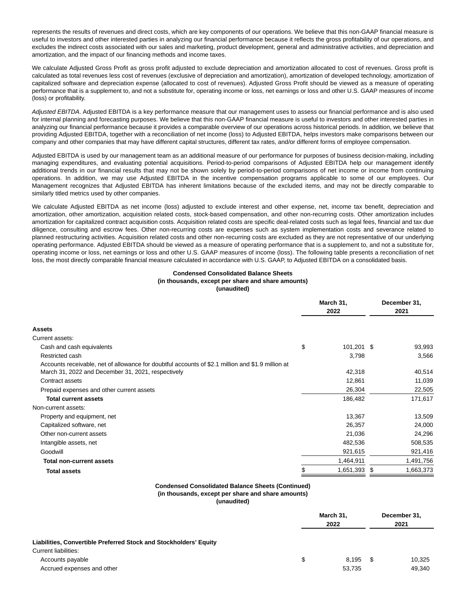represents the results of revenues and direct costs, which are key components of our operations. We believe that this non-GAAP financial measure is useful to investors and other interested parties in analyzing our financial performance because it reflects the gross profitability of our operations, and excludes the indirect costs associated with our sales and marketing, product development, general and administrative activities, and depreciation and amortization, and the impact of our financing methods and income taxes.

We calculate Adjusted Gross Profit as gross profit adjusted to exclude depreciation and amortization allocated to cost of revenues. Gross profit is calculated as total revenues less cost of revenues (exclusive of depreciation and amortization), amortization of developed technology, amortization of capitalized software and depreciation expense (allocated to cost of revenues). Adjusted Gross Profit should be viewed as a measure of operating performance that is a supplement to, and not a substitute for, operating income or loss, net earnings or loss and other U.S. GAAP measures of income (loss) or profitability.

Adjusted EBITDA. Adjusted EBITDA is a key performance measure that our management uses to assess our financial performance and is also used for internal planning and forecasting purposes. We believe that this non-GAAP financial measure is useful to investors and other interested parties in analyzing our financial performance because it provides a comparable overview of our operations across historical periods. In addition, we believe that providing Adjusted EBITDA, together with a reconciliation of net income (loss) to Adjusted EBITDA, helps investors make comparisons between our company and other companies that may have different capital structures, different tax rates, and/or different forms of employee compensation.

Adjusted EBITDA is used by our management team as an additional measure of our performance for purposes of business decision-making, including managing expenditures, and evaluating potential acquisitions. Period-to-period comparisons of Adjusted EBITDA help our management identify additional trends in our financial results that may not be shown solely by period-to-period comparisons of net income or income from continuing operations. In addition, we may use Adjusted EBITDA in the incentive compensation programs applicable to some of our employees. Our Management recognizes that Adjusted EBITDA has inherent limitations because of the excluded items, and may not be directly comparable to similarly titled metrics used by other companies.

We calculate Adjusted EBITDA as net income (loss) adjusted to exclude interest and other expense, net, income tax benefit, depreciation and amortization, other amortization, acquisition related costs, stock-based compensation, and other non-recurring costs. Other amortization includes amortization for capitalized contract acquisition costs. Acquisition related costs are specific deal-related costs such as legal fees, financial and tax due diligence, consulting and escrow fees. Other non-recurring costs are expenses such as system implementation costs and severance related to planned restructuring activities. Acquisition related costs and other non-recurring costs are excluded as they are not representative of our underlying operating performance. Adjusted EBITDA should be viewed as a measure of operating performance that is a supplement to, and not a substitute for, operating income or loss, net earnings or loss and other U.S. GAAP measures of income (loss). The following table presents a reconciliation of net loss, the most directly comparable financial measure calculated in accordance with U.S. GAAP, to Adjusted EBITDA on a consolidated basis.

#### **Condensed Consolidated Balance Sheets (in thousands, except per share and share amounts) (unaudited)**

|                                                                                                   | March 31,<br>2022 |              | December 31,<br>2021 |           |
|---------------------------------------------------------------------------------------------------|-------------------|--------------|----------------------|-----------|
| Assets                                                                                            |                   |              |                      |           |
| Current assets:                                                                                   |                   |              |                      |           |
| Cash and cash equivalents                                                                         | \$                | $101,201$ \$ |                      | 93,993    |
| Restricted cash                                                                                   |                   | 3,798        |                      | 3,566     |
| Accounts receivable, net of allowance for doubtful accounts of \$2.1 million and \$1.9 million at |                   |              |                      |           |
| March 31, 2022 and December 31, 2021, respectively                                                |                   | 42,318       |                      | 40,514    |
| Contract assets                                                                                   |                   | 12,861       |                      | 11,039    |
| Prepaid expenses and other current assets                                                         |                   | 26,304       |                      | 22,505    |
| <b>Total current assets</b>                                                                       |                   | 186,482      |                      | 171,617   |
| Non-current assets:                                                                               |                   |              |                      |           |
| Property and equipment, net                                                                       |                   | 13,367       |                      | 13,509    |
| Capitalized software, net                                                                         |                   | 26,357       |                      | 24,000    |
| Other non-current assets                                                                          |                   | 21,036       |                      | 24,296    |
| Intangible assets, net                                                                            |                   | 482,536      |                      | 508,535   |
| Goodwill                                                                                          |                   | 921,615      |                      | 921,416   |
| <b>Total non-current assets</b>                                                                   |                   | 1,464,911    |                      | 1,491,756 |
| <b>Total assets</b>                                                                               |                   | 1,651,393    | \$                   | 1,663,373 |

## **Condensed Consolidated Balance Sheets (Continued)**

**(in thousands, except per share and share amounts)**

**(unaudited)**

|                                                                                           | March 31,<br>2022 |                 | December 31,<br>2021 |                  |
|-------------------------------------------------------------------------------------------|-------------------|-----------------|----------------------|------------------|
| Liabilities, Convertible Preferred Stock and Stockholders' Equity<br>Current liabilities: |                   |                 |                      |                  |
| Accounts payable<br>Accrued expenses and other                                            | \$                | 8.195<br>53,735 | \$                   | 10,325<br>49,340 |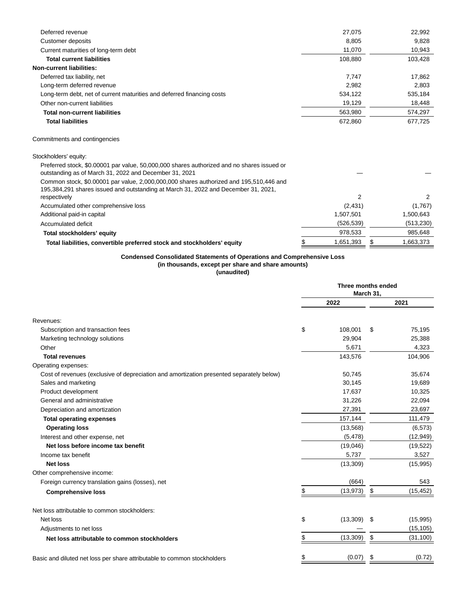|                                                                                                                                                                              | 27,075     | 22,992          |
|------------------------------------------------------------------------------------------------------------------------------------------------------------------------------|------------|-----------------|
| <b>Customer deposits</b>                                                                                                                                                     | 8,805      | 9,828           |
| Current maturities of long-term debt                                                                                                                                         | 11,070     | 10,943          |
| <b>Total current liabilities</b>                                                                                                                                             | 108.880    | 103,428         |
| <b>Non-current liabilities:</b>                                                                                                                                              |            |                 |
| Deferred tax liability, net                                                                                                                                                  | 7,747      | 17,862          |
| Long-term deferred revenue                                                                                                                                                   | 2,982      | 2,803           |
| Long-term debt, net of current maturities and deferred financing costs                                                                                                       | 534,122    | 535,184         |
| Other non-current liabilities                                                                                                                                                | 19,129     | 18,448          |
| <b>Total non-current liabilities</b>                                                                                                                                         | 563,980    | 574,297         |
| <b>Total liabilities</b>                                                                                                                                                     | 672,860    | 677,725         |
| Commitments and contingencies                                                                                                                                                |            |                 |
| Stockholders' equity:                                                                                                                                                        |            |                 |
| Preferred stock, \$0.00001 par value, 50,000,000 shares authorized and no shares issued or<br>outstanding as of March 31, 2022 and December 31, 2021                         |            |                 |
| Common stock, \$0.00001 par value, 2,000,000,000 shares authorized and 195,510,446 and<br>195,384,291 shares issued and outstanding at March 31, 2022 and December 31, 2021, |            |                 |
| respectively                                                                                                                                                                 | 2          | 2               |
| Accumulated other comprehensive loss                                                                                                                                         | (2,431)    | (1,767)         |
| Additional paid-in capital                                                                                                                                                   | 1,507,501  | 1,500,643       |
| Accumulated deficit                                                                                                                                                          | (526, 539) | (513, 230)      |
| Total stockholders' equity                                                                                                                                                   | 978,533    | 985,648         |
| Total liabilities, convertible preferred stock and stockholders' equity                                                                                                      | 1,651,393  | \$<br>1,663,373 |

#### **Condensed Consolidated Statements of Operations and Comprehensive Loss (in thousands, except per share and share amounts)**

**(unaudited)**

|                                                                                          | Three months ended<br>March 31, |           |    |           |
|------------------------------------------------------------------------------------------|---------------------------------|-----------|----|-----------|
|                                                                                          |                                 | 2022      |    | 2021      |
| Revenues:                                                                                |                                 |           |    |           |
| Subscription and transaction fees                                                        | \$                              | 108,001   | \$ | 75,195    |
| Marketing technology solutions                                                           |                                 | 29,904    |    | 25,388    |
| Other                                                                                    |                                 | 5,671     |    | 4,323     |
| <b>Total revenues</b>                                                                    |                                 | 143,576   |    | 104,906   |
| Operating expenses:                                                                      |                                 |           |    |           |
| Cost of revenues (exclusive of depreciation and amortization presented separately below) |                                 | 50,745    |    | 35,674    |
| Sales and marketing                                                                      |                                 | 30,145    |    | 19,689    |
| Product development                                                                      |                                 | 17,637    |    | 10,325    |
| General and administrative                                                               |                                 | 31,226    |    | 22,094    |
| Depreciation and amortization                                                            |                                 | 27,391    |    | 23,697    |
| <b>Total operating expenses</b>                                                          |                                 | 157,144   |    | 111,479   |
| <b>Operating loss</b>                                                                    |                                 | (13, 568) |    | (6, 573)  |
| Interest and other expense, net                                                          |                                 | (5, 478)  |    | (12, 949) |
| Net loss before income tax benefit                                                       |                                 | (19,046)  |    | (19, 522) |
| Income tax benefit                                                                       |                                 | 5,737     |    | 3,527     |
| <b>Net loss</b>                                                                          |                                 | (13, 309) |    | (15, 995) |
| Other comprehensive income:                                                              |                                 |           |    |           |
| Foreign currency translation gains (losses), net                                         |                                 | (664)     |    | 543       |
| <b>Comprehensive loss</b>                                                                | \$                              | (13, 973) | \$ | (15, 452) |
| Net loss attributable to common stockholders:                                            |                                 |           |    |           |
| Net loss                                                                                 | \$                              | (13,309)  | S  | (15,995)  |
| Adjustments to net loss                                                                  |                                 |           |    | (15, 105) |
| Net loss attributable to common stockholders                                             | \$                              | (13,309)  | \$ | (31, 100) |
| Basic and diluted net loss per share attributable to common stockholders                 | \$                              | (0.07)    | \$ | (0.72)    |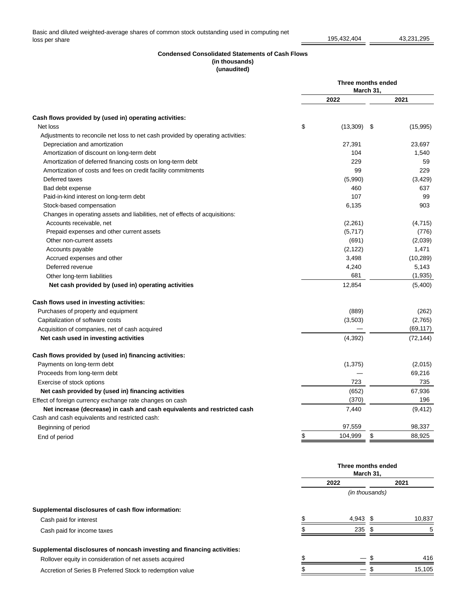### **Condensed Consolidated Statements of Cash Flows (in thousands) (unaudited)**

| Cash flows provided by (used in) operating activities:                          | 2022                    |           |    |
|---------------------------------------------------------------------------------|-------------------------|-----------|----|
|                                                                                 |                         | 2021      |    |
|                                                                                 |                         |           |    |
| Net loss                                                                        | \$<br>(13, 309)<br>- \$ | (15,995)  |    |
| Adjustments to reconcile net loss to net cash provided by operating activities: |                         |           |    |
| Depreciation and amortization                                                   | 27,391                  | 23,697    |    |
| Amortization of discount on long-term debt                                      | 104                     | 1,540     |    |
| Amortization of deferred financing costs on long-term debt                      | 229                     |           | 59 |
| Amortization of costs and fees on credit facility commitments                   | 99                      | 229       |    |
| Deferred taxes                                                                  | (5,990)                 | (3,429)   |    |
| Bad debt expense                                                                | 460                     | 637       |    |
| Paid-in-kind interest on long-term debt                                         | 107                     | 99        |    |
| Stock-based compensation                                                        | 6,135                   | 903       |    |
| Changes in operating assets and liabilities, net of effects of acquisitions:    |                         |           |    |
| Accounts receivable, net                                                        | (2,261)                 | (4,715)   |    |
| Prepaid expenses and other current assets                                       | (5,717)                 | (776)     |    |
| Other non-current assets                                                        | (691)                   | (2,039)   |    |
| Accounts payable                                                                | (2, 122)                | 1,471     |    |
| Accrued expenses and other                                                      | 3,498                   | (10, 289) |    |
| Deferred revenue                                                                | 4,240                   | 5,143     |    |
| Other long-term liabilities                                                     | 681                     | (1,935)   |    |
| Net cash provided by (used in) operating activities                             | 12,854                  | (5,400)   |    |
| Cash flows used in investing activities:                                        |                         |           |    |
| Purchases of property and equipment                                             | (889)                   | (262)     |    |
| Capitalization of software costs                                                | (3,503)                 | (2,765)   |    |
| Acquisition of companies, net of cash acquired                                  |                         | (69, 117) |    |
| Net cash used in investing activities                                           | (4,392)                 | (72, 144) |    |
| Cash flows provided by (used in) financing activities:                          |                         |           |    |
| Payments on long-term debt                                                      | (1, 375)                | (2,015)   |    |
| Proceeds from long-term debt                                                    |                         | 69,216    |    |
| Exercise of stock options                                                       | 723                     | 735       |    |
| Net cash provided by (used in) financing activities                             | (652)                   | 67,936    |    |
| Effect of foreign currency exchange rate changes on cash                        | (370)                   | 196       |    |
| Net increase (decrease) in cash and cash equivalents and restricted cash        | 7,440                   | (9, 412)  |    |
| Cash and cash equivalents and restricted cash:                                  |                         |           |    |
| Beginning of period                                                             | 97,559                  | 98,337    |    |
| End of period                                                                   | \$<br>104,999<br>\$     | 88,925    |    |

|                                                                         | Three months ended<br>March 31, |                |  |        |
|-------------------------------------------------------------------------|---------------------------------|----------------|--|--------|
|                                                                         |                                 | 2022           |  | 2021   |
|                                                                         |                                 | (in thousands) |  |        |
| Supplemental disclosures of cash flow information:                      |                                 |                |  |        |
| Cash paid for interest                                                  |                                 | $4.943$ \$     |  | 10,837 |
| Cash paid for income taxes                                              |                                 | 235            |  |        |
| Supplemental disclosures of noncash investing and financing activities: |                                 |                |  |        |
| Rollover equity in consideration of net assets acquired                 |                                 |                |  | 416    |
| Accretion of Series B Preferred Stock to redemption value               |                                 |                |  | 15.105 |